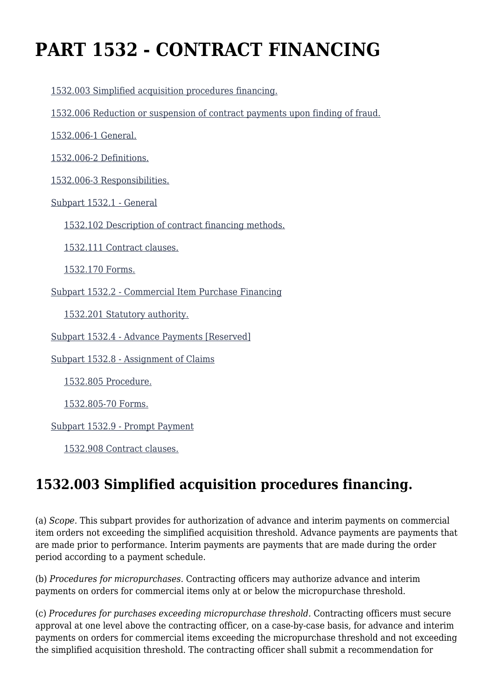# **PART 1532 - CONTRACT FINANCING**

[1532.003 Simplified acquisition procedures financing.](https://origin-www.acquisition.gov/%5Brp:link:epaar-part-1532%5D#Section_1532_003_T48_601527011)

[1532.006 Reduction or suspension of contract payments upon finding of fraud.](https://origin-www.acquisition.gov/%5Brp:link:epaar-part-1532%5D#Section_1532_006_T48_601527012)

[1532.006-1 General.](https://origin-www.acquisition.gov/%5Brp:link:epaar-part-1532%5D#Section_1532_006_1_T48_601527013)

[1532.006-2 Definitions.](https://origin-www.acquisition.gov/%5Brp:link:epaar-part-1532%5D#Section_1532_006_2_T48_601527014)

[1532.006-3 Responsibilities.](https://origin-www.acquisition.gov/%5Brp:link:epaar-part-1532%5D#Section_1532_006_3_T48_601527015)

[Subpart 1532.1 - General](https://origin-www.acquisition.gov/%5Brp:link:epaar-part-1532%5D#Subpart_1532_1_T48_6015271)

[1532.102 Description of contract financing methods.](https://origin-www.acquisition.gov/%5Brp:link:epaar-part-1532%5D#Section_1532_102_T48_601527111)

[1532.111 Contract clauses.](https://origin-www.acquisition.gov/%5Brp:link:epaar-part-1532%5D#Section_1532_111_T48_601527112)

[1532.170 Forms.](https://origin-www.acquisition.gov/%5Brp:link:epaar-part-1532%5D#Section_1532_170_T48_601527113)

[Subpart 1532.2 - Commercial Item Purchase Financing](https://origin-www.acquisition.gov/%5Brp:link:epaar-part-1532%5D#Subpart_1532_2_T48_6015272)

[1532.201 Statutory authority.](https://origin-www.acquisition.gov/%5Brp:link:epaar-part-1532%5D#Section_1532_201_T48_601527211)

[Subpart 1532.4 - Advance Payments \[Reserved\]](https://origin-www.acquisition.gov/%5Brp:link:epaar-part-1532%5D#Subpart_1532_4_T48_6015273)

[Subpart 1532.8 - Assignment of Claims](https://origin-www.acquisition.gov/%5Brp:link:epaar-part-1532%5D#Subpart_1532_8_T48_6015274)

[1532.805 Procedure.](https://origin-www.acquisition.gov/%5Brp:link:epaar-part-1532%5D#Section_1532_805_T48_601527411)

[1532.805-70 Forms.](https://origin-www.acquisition.gov/%5Brp:link:epaar-part-1532%5D#Section_1532_805_70_T48_601527412)

[Subpart 1532.9 - Prompt Payment](https://origin-www.acquisition.gov/%5Brp:link:epaar-part-1532%5D#Subpart_1532_9_T48_6015275)

[1532.908 Contract clauses.](https://origin-www.acquisition.gov/%5Brp:link:epaar-part-1532%5D#Section_1532_908_T48_601527511)

# **1532.003 Simplified acquisition procedures financing.**

(a) *Scope.* This subpart provides for authorization of advance and interim payments on commercial item orders not exceeding the simplified acquisition threshold. Advance payments are payments that are made prior to performance. Interim payments are payments that are made during the order period according to a payment schedule.

(b) *Procedures for micropurchases.* Contracting officers may authorize advance and interim payments on orders for commercial items only at or below the micropurchase threshold.

(c) *Procedures for purchases exceeding micropurchase threshold.* Contracting officers must secure approval at one level above the contracting officer, on a case-by-case basis, for advance and interim payments on orders for commercial items exceeding the micropurchase threshold and not exceeding the simplified acquisition threshold. The contracting officer shall submit a recommendation for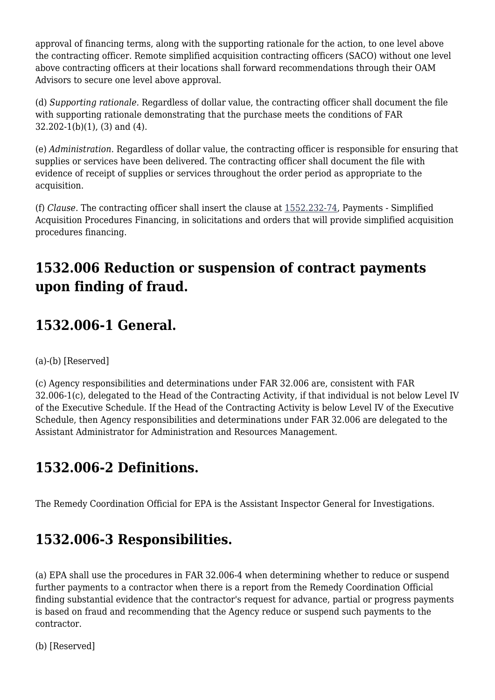approval of financing terms, along with the supporting rationale for the action, to one level above the contracting officer. Remote simplified acquisition contracting officers (SACO) without one level above contracting officers at their locations shall forward recommendations through their OAM Advisors to secure one level above approval.

(d) *Supporting rationale.* Regardless of dollar value, the contracting officer shall document the file with supporting rationale demonstrating that the purchase meets the conditions of FAR  $32.202-1(b)(1)$ , (3) and (4).

(e) *Administration.* Regardless of dollar value, the contracting officer is responsible for ensuring that supplies or services have been delivered. The contracting officer shall document the file with evidence of receipt of supplies or services throughout the order period as appropriate to the acquisition.

(f) *Clause.* The contracting officer shall insert the clause at [1552.232-74,](https://origin-www.acquisition.gov/%5Brp:link:epaar-part-1552%5D#Section_1552_232_74_T48_6018371158) Payments - Simplified Acquisition Procedures Financing, in solicitations and orders that will provide simplified acquisition procedures financing.

# **1532.006 Reduction or suspension of contract payments upon finding of fraud.**

# **1532.006-1 General.**

(a)-(b) [Reserved]

(c) Agency responsibilities and determinations under FAR 32.006 are, consistent with FAR 32.006-1(c), delegated to the Head of the Contracting Activity, if that individual is not below Level IV of the Executive Schedule. If the Head of the Contracting Activity is below Level IV of the Executive Schedule, then Agency responsibilities and determinations under FAR 32.006 are delegated to the Assistant Administrator for Administration and Resources Management.

# **1532.006-2 Definitions.**

The Remedy Coordination Official for EPA is the Assistant Inspector General for Investigations.

# **1532.006-3 Responsibilities.**

(a) EPA shall use the procedures in FAR 32.006-4 when determining whether to reduce or suspend further payments to a contractor when there is a report from the Remedy Coordination Official finding substantial evidence that the contractor's request for advance, partial or progress payments is based on fraud and recommending that the Agency reduce or suspend such payments to the contractor.

(b) [Reserved]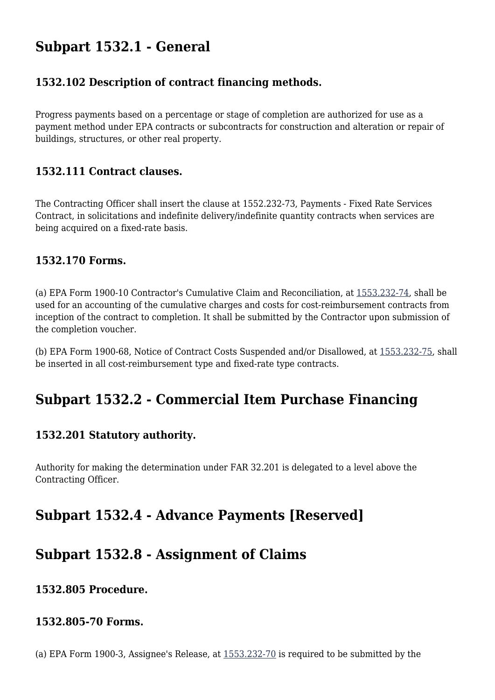### **Subpart 1532.1 - General**

#### **1532.102 Description of contract financing methods.**

Progress payments based on a percentage or stage of completion are authorized for use as a payment method under EPA contracts or subcontracts for construction and alteration or repair of buildings, structures, or other real property.

#### **1532.111 Contract clauses.**

The Contracting Officer shall insert the clause at 1552.232-73, Payments - Fixed Rate Services Contract, in solicitations and indefinite delivery/indefinite quantity contracts when services are being acquired on a fixed-rate basis.

#### **1532.170 Forms.**

(a) EPA Form 1900-10 Contractor's Cumulative Claim and Reconciliation, at [1553.232-74](https://origin-www.acquisition.gov/%5Brp:link:epaar-part-1553%5D#Section_1553_232_74_T48_6018381111), shall be used for an accounting of the cumulative charges and costs for cost-reimbursement contracts from inception of the contract to completion. It shall be submitted by the Contractor upon submission of the completion voucher.

(b) EPA Form 1900-68, Notice of Contract Costs Suspended and/or Disallowed, at [1553.232-75](https://origin-www.acquisition.gov/%5Brp:link:epaar-part-1553%5D#Section_1553_232_75_T48_6018381112), shall be inserted in all cost-reimbursement type and fixed-rate type contracts.

### **Subpart 1532.2 - Commercial Item Purchase Financing**

#### **1532.201 Statutory authority.**

Authority for making the determination under FAR 32.201 is delegated to a level above the Contracting Officer.

### **Subpart 1532.4 - Advance Payments [Reserved]**

### **Subpart 1532.8 - Assignment of Claims**

#### **1532.805 Procedure.**

#### **1532.805-70 Forms.**

(a) EPA Form 1900-3, Assignee's Release, at [1553.232-70](https://origin-www.acquisition.gov/%5Brp:link:epaar-part-1553%5D#Section_1553_232_70_T48_601838117) is required to be submitted by the